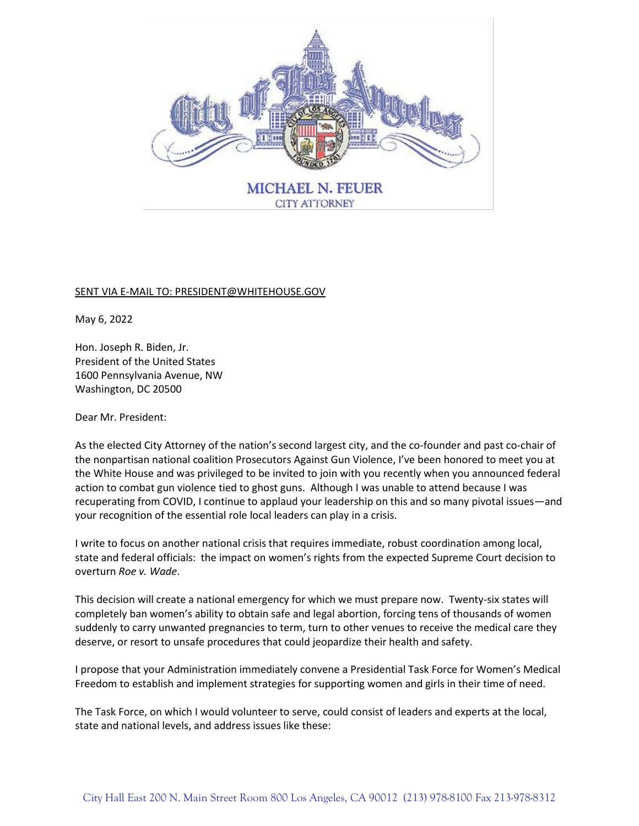

## SENT VIA E-MAIL TO: PRESIDENT@WHITEHOUSE.GOV

May 6, 2022

Hon. Joseph R. Biden, Jr. President of the United States 1600 Pennsylvania Avenue, NW Washington, DC 20500

Dear Mr. President:

As the elected City Attorney of the nation's second largest city, and the co-founder and past co-chair of the nonpartisan national coalition Prosecutors Against Gun Violence, I've been honored to meet you at the White House and was privileged to be invited to join with you recently when you announced federal action to combat gun violence tied to ghost guns. Although I was unable to attend because I was recuperating from COVID, I continue to applaud your leadership on this and so many pivotal issues—and your recognition of the essential role local leaders can play in a crisis.

I write to focus on another national crisis that requires immediate, robust coordination among local, state and federal officials: the impact on women's rights from the expected Supreme Court decision to overturn *Roe v. Wade*.

This decision will create a national emergency for which we must prepare now. Twenty-six states will completely ban women's ability to obtain safe and legal abortion, forcing tens of thousands of women suddenly to carry unwanted pregnancies to term, turn to other venues to receive the medical care they deserve, or resort to unsafe procedures that could jeopardize their health and safety.

I propose that your Administration immediately convene a Presidential Task Force for Women's Medical Freedom to establish and implement strategies for supporting women and girls in their time of need.

The Task Force, on which I would volunteer to serve, could consist of leaders and experts at the local, state and national levels, and address issues like these: